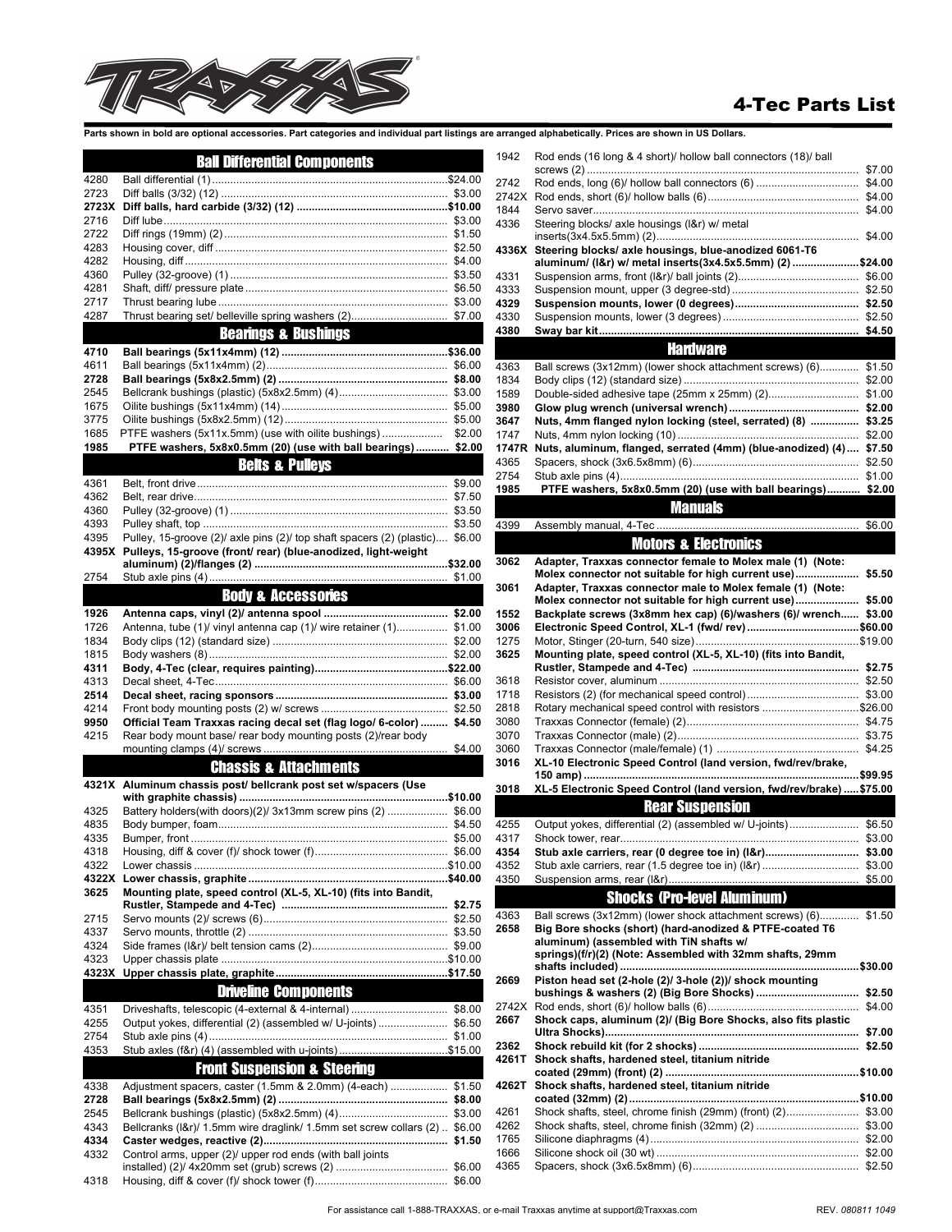

## 4-Tec Parts List

Parts shown in bold are optional accessories. Part categories and individual part listings are a

|               | <b>Ball Differential Components</b>                                          |        |
|---------------|------------------------------------------------------------------------------|--------|
| 4280          |                                                                              |        |
| 2723          |                                                                              |        |
| 2723X<br>2716 |                                                                              |        |
| 2722          |                                                                              |        |
| 4283          |                                                                              |        |
| 4282          |                                                                              |        |
| 4360          |                                                                              |        |
| 4281<br>2717  |                                                                              |        |
| 4287          |                                                                              |        |
|               | <b>Bearings &amp; Bushings</b>                                               |        |
| 4710          |                                                                              |        |
| 4611          |                                                                              |        |
| 2728          |                                                                              |        |
| 2545<br>1675  |                                                                              |        |
| 3775          |                                                                              |        |
| 1685          | PTFE washers (5x11x.5mm) (use with oilite bushings)                          | \$2.00 |
| 1985          | PTFE washers, 5x8x0.5mm (20) (use with ball bearings) \$2.00                 |        |
|               | <b>Beits &amp; Pulleys</b>                                                   |        |
| 4361          |                                                                              |        |
| 4362          |                                                                              |        |
| 4360<br>4393  |                                                                              | \$3.50 |
| 4395          | Pulley, 15-groove (2)/ axle pins (2)/ top shaft spacers (2) (plastic) \$6.00 |        |
| 4395X         | Pulleys, 15-groove (front/ rear) (blue-anodized, light-weight                |        |
|               |                                                                              |        |
| 2754          |                                                                              | \$1.00 |
|               | <b>Body &amp; Accessories</b>                                                |        |
| 1926<br>1726  |                                                                              |        |
| 1834          | Antenna, tube (1)/ vinyl antenna cap (1)/ wire retainer (1) \$1.00           |        |
| 1815          |                                                                              |        |
| 4311          |                                                                              |        |
| 4313          |                                                                              |        |
| 2514          |                                                                              |        |
| 4214<br>9950  | Official Team Traxxas racing decal set (flag logo/ 6-color)  \$4.50          |        |
| 4215          | Rear body mount base/ rear body mounting posts (2)/rear body                 |        |
|               |                                                                              |        |
|               | <b>Chassis &amp; Attachments</b>                                             |        |
|               | 4321X Aluminum chassis post/ bellcrank post set w/spacers (Use               |        |
| 4325          | Battery holders(with doors)(2)/ 3x13mm screw pins (2)  \$6.00                |        |
| 4835          |                                                                              |        |
| 4335          |                                                                              |        |
| 4318          |                                                                              |        |
| 4322          |                                                                              |        |
| 4322X<br>3625 | Mounting plate, speed control (XL-5, XL-10) (fits into Bandit,               |        |
|               |                                                                              |        |
| 2715          |                                                                              |        |
| 4337          |                                                                              |        |
| 4324<br>4323  |                                                                              |        |
| 4323X         |                                                                              |        |
|               | <b>Driveline Components</b>                                                  |        |
| 4351          |                                                                              |        |
| 4255          | Output yokes, differential (2) (assembled w/ U-joints) \$6.50                |        |
| 2754          |                                                                              |        |
| 4353          | Stub axles (f&r) (4) (assembled with u-joints) \$15.00                       |        |
|               | <b>Front Suspension &amp; Steering</b>                                       |        |
| 4338          | Adjustment spacers, caster (1.5mm & 2.0mm) (4-each)  \$1.50                  |        |
| 2728          |                                                                              |        |
| 2545          |                                                                              |        |
| 4343<br>4334  | Bellcranks (I&r)/ 1.5mm wire draglink/ 1.5mm set screw collars (2)  \$6.00   |        |
| 4332          | Control arms, upper (2)/ upper rod ends (with ball joints                    |        |
|               |                                                                              |        |
| 4318          |                                                                              |        |

|              | arranged alphabetically. Prices are shown in US Dollars.                                                                   |        |
|--------------|----------------------------------------------------------------------------------------------------------------------------|--------|
| 1942         | Rod ends (16 long & 4 short)/ hollow ball connectors (18)/ ball                                                            |        |
| 2742         |                                                                                                                            |        |
| 2742X        |                                                                                                                            |        |
| 1844         |                                                                                                                            |        |
| 4336         | Steering blocks/ axle housings (I&r) w/ metal                                                                              |        |
|              | Steering blocks/ axle housings, blue-anodized 6061-T6                                                                      |        |
| 4336X        | aluminum/ (I&r) w/ metal inserts(3x4.5x5.5mm) (2) \$24.00                                                                  |        |
| 4331         |                                                                                                                            |        |
| 4333         |                                                                                                                            |        |
| 4329         |                                                                                                                            |        |
| 4330         |                                                                                                                            |        |
| 4380         |                                                                                                                            |        |
|              | <b>Hardware</b>                                                                                                            |        |
| 4363         | Ball screws (3x12mm) (lower shock attachment screws) (6) \$1.50                                                            |        |
| 1834         |                                                                                                                            |        |
| 1589         |                                                                                                                            |        |
| 3980         |                                                                                                                            |        |
| 3647         | Nuts, 4mm flanged nylon locking (steel, serrated) (8)  \$3.25                                                              |        |
| 1747         |                                                                                                                            |        |
| 1747R        | Nuts, aluminum, flanged, serrated (4mm) (blue-anodized) (4)  \$7.50                                                        |        |
| 4365<br>2754 |                                                                                                                            |        |
| 1985         | PTFE washers, 5x8x0.5mm (20) (use with ball bearings) \$2.00                                                               |        |
|              | <b>Manuals Manuals</b>                                                                                                     |        |
|              |                                                                                                                            |        |
| 4399         |                                                                                                                            |        |
|              | <b>Motors &amp; Electronics</b>                                                                                            |        |
| 3062         | Adapter, Traxxas connector female to Molex male (1) (Note:                                                                 |        |
| 3061         | Molex connector not suitable for high current use)\$5.50<br>Adapter, Traxxas connector male to Molex female (1) (Note:     |        |
|              | Molex connector not suitable for high current use)\$5.00                                                                   |        |
| 1552         | Backplate screws (3x8mm hex cap) (6)/washers (6)/ wrench \$3.00                                                            |        |
| 3006         |                                                                                                                            |        |
| 1275         |                                                                                                                            |        |
| 3625         | Mounting plate, speed control (XL-5, XL-10) (fits into Bandit,                                                             |        |
|              |                                                                                                                            |        |
| 3618         |                                                                                                                            |        |
| 1718<br>2818 |                                                                                                                            |        |
| 3080         | Rotary mechanical speed control with resistors \$26.00                                                                     |        |
| 3070         |                                                                                                                            |        |
| 3060         |                                                                                                                            |        |
| 3016         | XL-10 Electronic Speed Control (land version, fwd/rev/brake,                                                               |        |
|              |                                                                                                                            |        |
| 3018         | XL-5 Electronic Speed Control (land version, fwd/rev/brake)  \$75.00                                                       |        |
|              | <b>Rear Suspension</b>                                                                                                     |        |
| 4255         | Output yokes, differential (2) (assembled w/ U-joints)                                                                     | \$6.50 |
| 4317<br>4354 |                                                                                                                            |        |
| 4352         |                                                                                                                            |        |
| 4350         |                                                                                                                            |        |
|              | <b>Shocks (Pro-level Aluminum)</b>                                                                                         |        |
|              |                                                                                                                            |        |
| 4363<br>2658 | Ball screws (3x12mm) (lower shock attachment screws) (6) \$1.50<br>Big Bore shocks (short) (hard-anodized & PTFE-coated T6 |        |
|              | aluminum) (assembled with TiN shafts w/                                                                                    |        |
|              | springs)(f/r)(2) (Note: Assembled with 32mm shafts, 29mm                                                                   |        |
|              |                                                                                                                            |        |
| 2669         | Piston head set (2-hole (2)/ 3-hole (2))/ shock mounting                                                                   |        |
| 2742X        |                                                                                                                            |        |
| 2667         | Shock caps, aluminum (2)/ (Big Bore Shocks, also fits plastic                                                              |        |
|              |                                                                                                                            |        |
| 2362         |                                                                                                                            |        |
| 4261T        | Shock shafts, hardened steel, titanium nitride                                                                             |        |
| 4262T        | Shock shafts, hardened steel, titanium nitride                                                                             |        |
|              |                                                                                                                            |        |
| 4261         | Shock shafts, steel, chrome finish (29mm) (front) (2) \$3.00                                                               |        |
| 4262         |                                                                                                                            |        |
| 1765         |                                                                                                                            |        |
| 1666         |                                                                                                                            |        |

4365 Spacers, shock (3x6.5x8mm) (6)....................................................... \$2.50